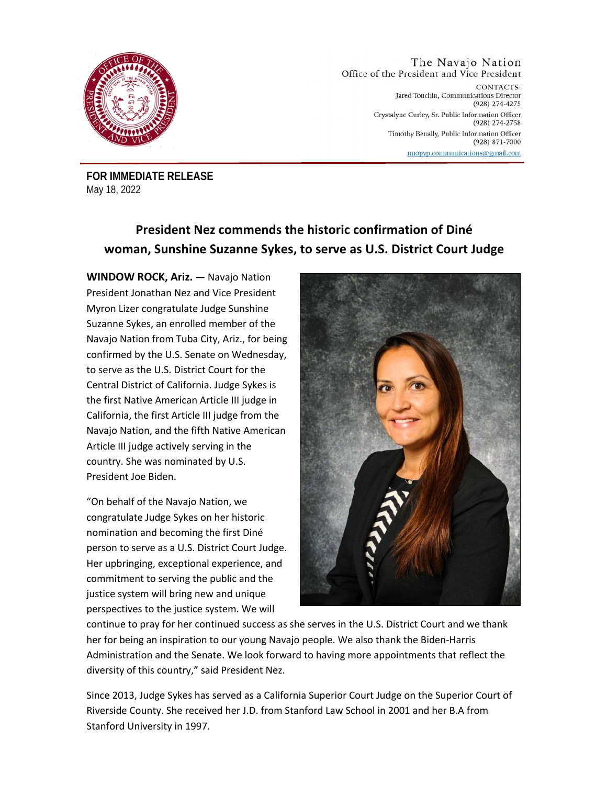

## The Navajo Nation Office of the President and Vice President

CONTACTS: Jared Touchin, Communications Director (928) 274-4275 Crystalyne Curley, Sr. Public Information Officer (928) 274-2758 Timothy Benally, Public Information Officer  $(928) 871 - 7000$ nnopvp.communications@gmail.com

**FOR IMMEDIATE RELEASE** May 18, 2022

## **President Nez commends the historic confirmation of Diné woman, Sunshine Suzanne Sykes, to serve as U.S. District Court Judge**

**WINDOW ROCK, Ariz. —** Navajo Nation President Jonathan Nez and Vice President Myron Lizer congratulate Judge Sunshine Suzanne Sykes, an enrolled member of the Navajo Nation from Tuba City, Ariz., for being confirmed by the U.S. Senate on Wednesday, to serve as the U.S. District Court for the Central District of California. Judge Sykes is the first Native American Article III judge in California, the first Article III judge from the Navajo Nation, and the fifth Native American Article III judge actively serving in the country. She was nominated by U.S. President Joe Biden.

"On behalf of the Navajo Nation, we congratulate Judge Sykes on her historic nomination and becoming the first Diné person to serve as a U.S. District Court Judge. Her upbringing, exceptional experience, and commitment to serving the public and the justice system will bring new and unique perspectives to the justice system. We will



continue to pray for her continued success as she serves in the U.S. District Court and we thank her for being an inspiration to our young Navajo people. We also thank the Biden-Harris Administration and the Senate. We look forward to having more appointments that reflect the diversity of this country," said President Nez.

Since 2013, Judge Sykes has served as a California Superior Court Judge on the Superior Court of Riverside County. She received her J.D. from Stanford Law School in 2001 and her B.A from Stanford University in 1997.